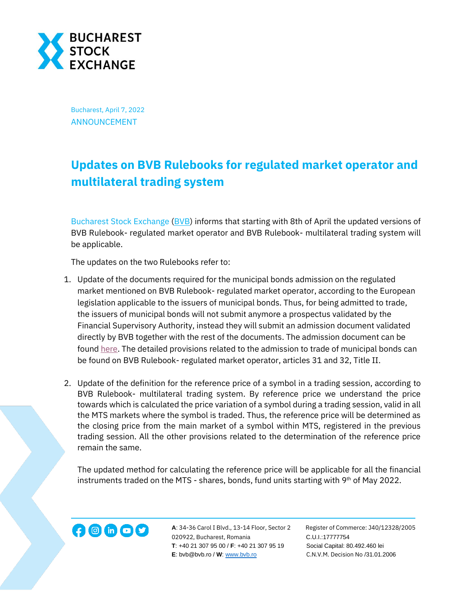

Bucharest, April 7, 2022 ANNOUNCEMENT

## **Updates on BVB Rulebooks for regulated market operator and multilateral trading system**

[Bucharest](http://www.bvb.ro/) Stock Exchange [\(BVB\)](https://bvb.ro/) informs that starting with 8th of April the updated versions of BVB Rulebook- regulated market operator and BVB Rulebook- multilateral trading system will be applicable.

The updates on the two Rulebooks refer to:

- 1. Update of the documents required for the municipal bonds admission on the regulated market mentioned on BVB Rulebook- regulated market operator, according to the European legislation applicable to the issuers of municipal bonds. Thus, for being admitted to trade, the issuers of municipal bonds will not submit anymore a prospectus validated by the Financial Supervisory Authority, instead they will submit an admission document validated directly by BVB together with the rest of the documents. The admission document can be foun[d here.](https://www.bvb.ro/Juridic/files/Document%20de%20admitere%2008.04.2022.pdf) The detailed provisions related to the admission to trade of municipal bonds can be found on BVB Rulebook- regulated market operator, articles 31 and 32, Title II.
- 2. Update of the definition for the reference price of a symbol in a trading session, according to BVB Rulebook- multilateral trading system. By reference price we understand the price towards which is calculated the price variation of a symbol during a trading session, valid in all the MTS markets where the symbol is traded. Thus, the reference price will be determined as the closing price from the main market of a symbol within MTS, registered in the previous trading session. All the other provisions related to the determination of the reference price remain the same.

The updated method for calculating the reference price will be applicable for all the financial instruments traded on the MTS - shares, bonds, fund units starting with  $9<sup>th</sup>$  of May 2022.



**A**: 34-36 Carol I Blvd., 13-14 Floor, Sector 2 Register of Commerce: J40/12328/2005 **1200 Conserved A**: 34-36 Carol I Blvd., 13-14 Floor, Sector 2 Register of Comm<br>020922, Bucharest, Romania C.U.I.:17777754  **T**: +40 21 307 95 00 / **F**: +40 21 307 95 19 Social Capital: 80.492.460 lei **E**: bvb@bvb.ro / **W**[: www.bvb.ro](http://www.bvb.ro/) C.N.V.M. Decision No /31.01.2006